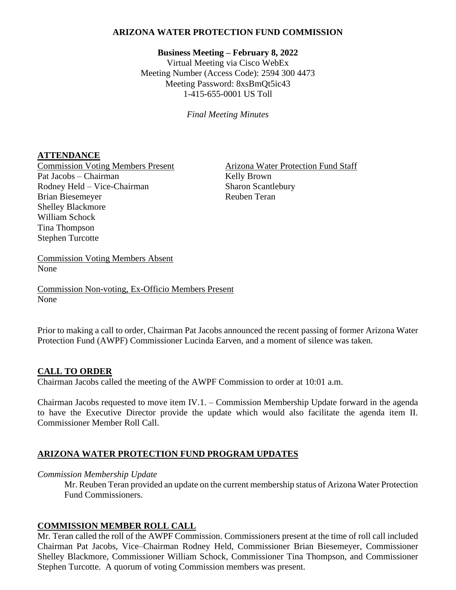## **ARIZONA WATER PROTECTION FUND COMMISSION**

# **Business Meeting – February 8, 2022**

Virtual Meeting via Cisco WebEx Meeting Number (Access Code): 2594 300 4473 Meeting Password: 8xsBmQt5ic43 1-415-655-0001 US Toll

*Final Meeting Minutes*

## **ATTENDANCE**

Pat Jacobs – Chairman Kelly Brown Rodney Held – Vice-Chairman Sharon Scantlebury Brian Biesemeyer Reuben Teran Shelley Blackmore William Schock Tina Thompson Stephen Turcotte

Commission Voting Members Present Arizona Water Protection Fund Staff

Commission Voting Members Absent None

Commission Non-voting, Ex-Officio Members Present None

Prior to making a call to order, Chairman Pat Jacobs announced the recent passing of former Arizona Water Protection Fund (AWPF) Commissioner Lucinda Earven, and a moment of silence was taken.

# **CALL TO ORDER**

Chairman Jacobs called the meeting of the AWPF Commission to order at 10:01 a.m.

Chairman Jacobs requested to move item IV.1. – Commission Membership Update forward in the agenda to have the Executive Director provide the update which would also facilitate the agenda item II. Commissioner Member Roll Call.

# **ARIZONA WATER PROTECTION FUND PROGRAM UPDATES**

### *Commission Membership Update*

Mr. Reuben Teran provided an update on the current membership status of Arizona Water Protection Fund Commissioners.

### **COMMISSION MEMBER ROLL CALL**

Mr. Teran called the roll of the AWPF Commission. Commissioners present at the time of roll call included Chairman Pat Jacobs, Vice–Chairman Rodney Held, Commissioner Brian Biesemeyer, Commissioner Shelley Blackmore, Commissioner William Schock, Commissioner Tina Thompson, and Commissioner Stephen Turcotte. A quorum of voting Commission members was present.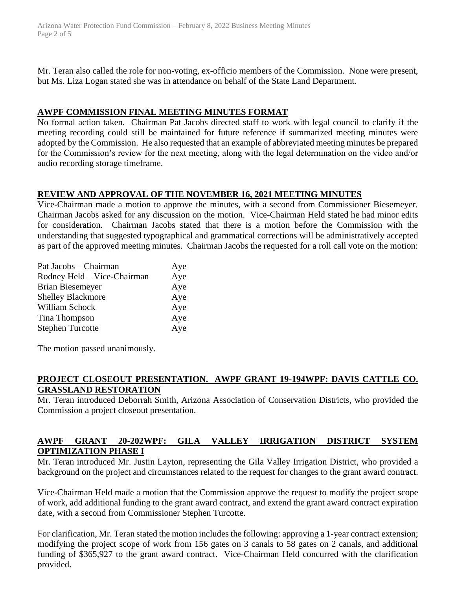Arizona Water Protection Fund Commission – February 8, 2022 Business Meeting Minutes Page 2 of 5

Mr. Teran also called the role for non-voting, ex-officio members of the Commission. None were present, but Ms. Liza Logan stated she was in attendance on behalf of the State Land Department.

## **AWPF COMMISSION FINAL MEETING MINUTES FORMAT**

No formal action taken. Chairman Pat Jacobs directed staff to work with legal council to clarify if the meeting recording could still be maintained for future reference if summarized meeting minutes were adopted by the Commission. He also requested that an example of abbreviated meeting minutes be prepared for the Commission's review for the next meeting, along with the legal determination on the video and/or audio recording storage timeframe.

# **REVIEW AND APPROVAL OF THE NOVEMBER 16, 2021 MEETING MINUTES**

Vice-Chairman made a motion to approve the minutes, with a second from Commissioner Biesemeyer. Chairman Jacobs asked for any discussion on the motion. Vice-Chairman Held stated he had minor edits for consideration. Chairman Jacobs stated that there is a motion before the Commission with the understanding that suggested typographical and grammatical corrections will be administratively accepted as part of the approved meeting minutes. Chairman Jacobs the requested for a roll call vote on the motion:

| Rodney Held - Vice-Chairman<br><b>Brian Biesemeyer</b><br><b>Shelley Blackmore</b><br>William Schock | Pat Jacobs – Chairman<br>Aye |
|------------------------------------------------------------------------------------------------------|------------------------------|
|                                                                                                      | Aye                          |
|                                                                                                      | Aye                          |
|                                                                                                      | Aye                          |
|                                                                                                      | Aye                          |
| Tina Thompson                                                                                        | Aye                          |
| <b>Stephen Turcotte</b>                                                                              | Aye                          |

The motion passed unanimously.

## **PROJECT CLOSEOUT PRESENTATION. AWPF GRANT 19-194WPF: DAVIS CATTLE CO. GRASSLAND RESTORATION**

Mr. Teran introduced Deborrah Smith, Arizona Association of Conservation Districts, who provided the Commission a project closeout presentation.

## **AWPF GRANT 20-202WPF: GILA VALLEY IRRIGATION DISTRICT SYSTEM OPTIMIZATION PHASE I**

Mr. Teran introduced Mr. Justin Layton, representing the Gila Valley Irrigation District, who provided a background on the project and circumstances related to the request for changes to the grant award contract.

Vice-Chairman Held made a motion that the Commission approve the request to modify the project scope of work, add additional funding to the grant award contract, and extend the grant award contract expiration date, with a second from Commissioner Stephen Turcotte.

For clarification, Mr. Teran stated the motion includes the following: approving a 1-year contract extension; modifying the project scope of work from 156 gates on 3 canals to 58 gates on 2 canals, and additional funding of \$365,927 to the grant award contract. Vice-Chairman Held concurred with the clarification provided.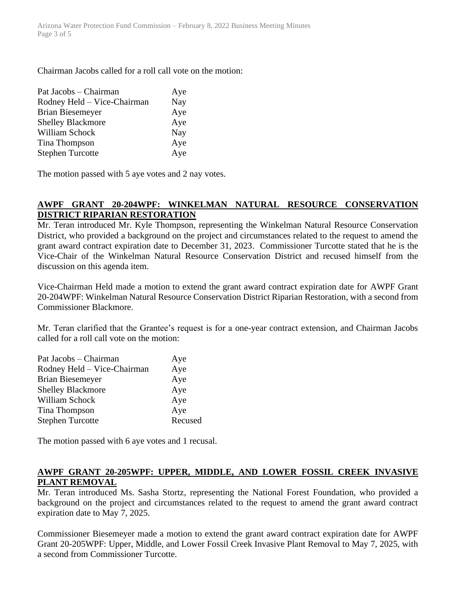Chairman Jacobs called for a roll call vote on the motion:

| Pat Jacobs – Chairman       | Aye |
|-----------------------------|-----|
| Rodney Held - Vice-Chairman | Nay |
| <b>Brian Biesemeyer</b>     | Aye |
| <b>Shelley Blackmore</b>    | Aye |
| William Schock              | Nay |
| Tina Thompson               | Aye |
| <b>Stephen Turcotte</b>     | Aye |

The motion passed with 5 aye votes and 2 nay votes.

# **AWPF GRANT 20-204WPF: WINKELMAN NATURAL RESOURCE CONSERVATION DISTRICT RIPARIAN RESTORATION**

Mr. Teran introduced Mr. Kyle Thompson, representing the Winkelman Natural Resource Conservation District, who provided a background on the project and circumstances related to the request to amend the grant award contract expiration date to December 31, 2023. Commissioner Turcotte stated that he is the Vice-Chair of the Winkelman Natural Resource Conservation District and recused himself from the discussion on this agenda item.

Vice-Chairman Held made a motion to extend the grant award contract expiration date for AWPF Grant 20-204WPF: Winkelman Natural Resource Conservation District Riparian Restoration, with a second from Commissioner Blackmore.

Mr. Teran clarified that the Grantee's request is for a one-year contract extension, and Chairman Jacobs called for a roll call vote on the motion:

| Aye     |
|---------|
| Aye     |
| Aye     |
| Aye     |
| Aye     |
| Aye     |
| Recused |
|         |

The motion passed with 6 aye votes and 1 recusal.

## **AWPF GRANT 20-205WPF: UPPER, MIDDLE, AND LOWER FOSSIL CREEK INVASIVE PLANT REMOVAL**

Mr. Teran introduced Ms. Sasha Stortz, representing the National Forest Foundation, who provided a background on the project and circumstances related to the request to amend the grant award contract expiration date to May 7, 2025.

Commissioner Biesemeyer made a motion to extend the grant award contract expiration date for AWPF Grant 20-205WPF: Upper, Middle, and Lower Fossil Creek Invasive Plant Removal to May 7, 2025, with a second from Commissioner Turcotte.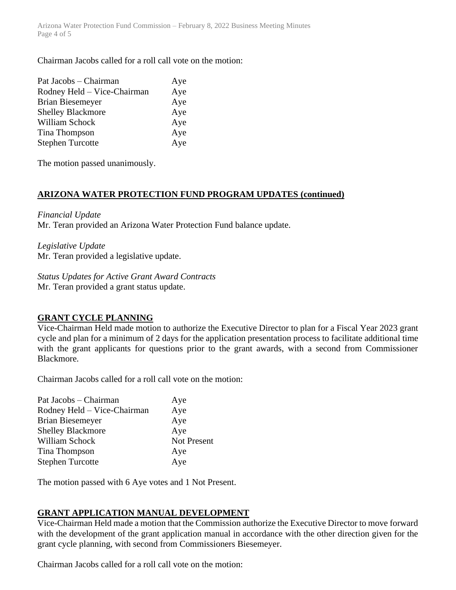Arizona Water Protection Fund Commission – February 8, 2022 Business Meeting Minutes Page 4 of 5

Chairman Jacobs called for a roll call vote on the motion:

| Aye |
|-----|
| Aye |
| Aye |
| Aye |
| Aye |
| Aye |
| Aye |
|     |

The motion passed unanimously.

# **ARIZONA WATER PROTECTION FUND PROGRAM UPDATES (continued)**

### *Financial Update*

Mr. Teran provided an Arizona Water Protection Fund balance update.

*Legislative Update*

Mr. Teran provided a legislative update.

*Status Updates for Active Grant Award Contracts*

Mr. Teran provided a grant status update.

# **GRANT CYCLE PLANNING**

Vice-Chairman Held made motion to authorize the Executive Director to plan for a Fiscal Year 2023 grant cycle and plan for a minimum of 2 days for the application presentation process to facilitate additional time with the grant applicants for questions prior to the grant awards, with a second from Commissioner Blackmore.

Chairman Jacobs called for a roll call vote on the motion:

| Aye         |
|-------------|
| Aye         |
| Aye         |
| Aye         |
| Not Present |
| Aye         |
| Aye         |
|             |

The motion passed with 6 Aye votes and 1 Not Present.

# **GRANT APPLICATION MANUAL DEVELOPMENT**

Vice-Chairman Held made a motion that the Commission authorize the Executive Director to move forward with the development of the grant application manual in accordance with the other direction given for the grant cycle planning, with second from Commissioners Biesemeyer.

Chairman Jacobs called for a roll call vote on the motion: